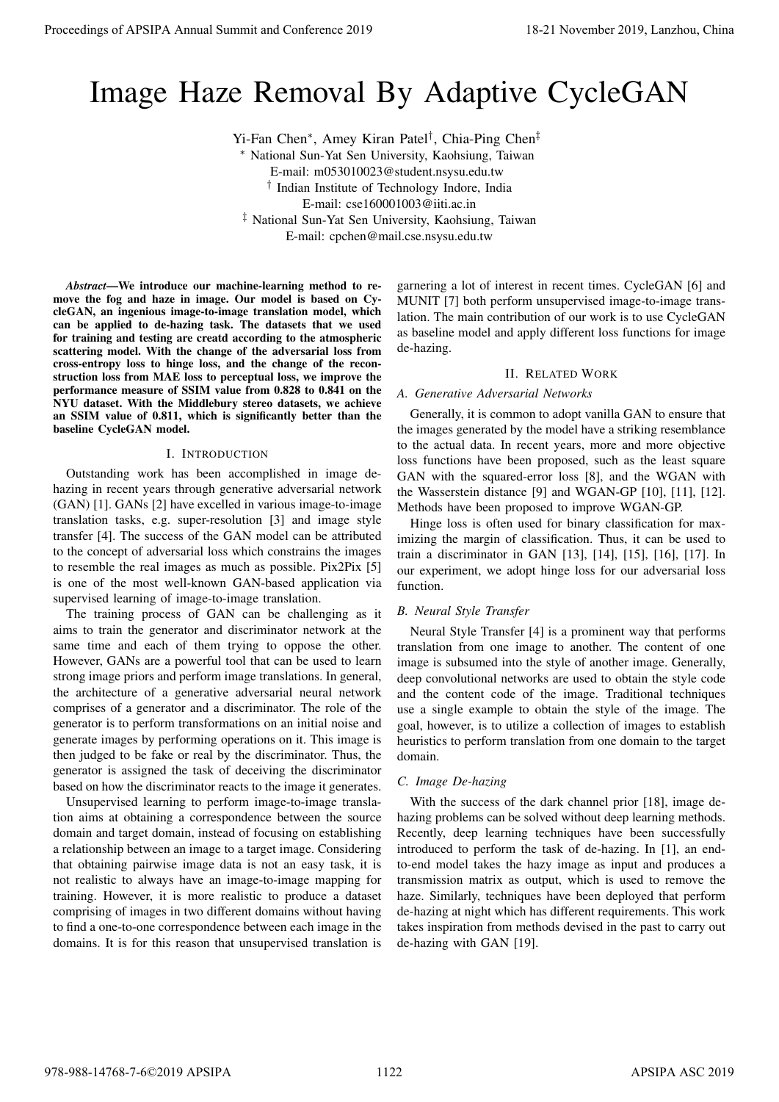# Image Haze Removal By Adaptive CycleGAN

Yi-Fan Chen<sup>∗</sup> , Amey Kiran Patel† , Chia-Ping Chen‡ <sup>∗</sup> National Sun-Yat Sen University, Kaohsiung, Taiwan E-mail: m053010023@student.nsysu.edu.tw † Indian Institute of Technology Indore, India E-mail: cse160001003@iiti.ac.in ‡ National Sun-Yat Sen University, Kaohsiung, Taiwan E-mail: cpchen@mail.cse.nsysu.edu.tw

*Abstract*—We introduce our machine-learning method to remove the fog and haze in image. Our model is based on CycleGAN, an ingenious image-to-image translation model, which can be applied to de-hazing task. The datasets that we used for training and testing are creatd according to the atmospheric scattering model. With the change of the adversarial loss from cross-entropy loss to hinge loss, and the change of the reconstruction loss from MAE loss to perceptual loss, we improve the performance measure of SSIM value from 0.828 to 0.841 on the NYU dataset. With the Middlebury stereo datasets, we achieve an SSIM value of 0.811, which is significantly better than the baseline CycleGAN model.

## I. INTRODUCTION

Outstanding work has been accomplished in image dehazing in recent years through generative adversarial network (GAN) [1]. GANs [2] have excelled in various image-to-image translation tasks, e.g. super-resolution [3] and image style transfer [4]. The success of the GAN model can be attributed to the concept of adversarial loss which constrains the images to resemble the real images as much as possible. Pix2Pix [5] is one of the most well-known GAN-based application via supervised learning of image-to-image translation.

The training process of GAN can be challenging as it aims to train the generator and discriminator network at the same time and each of them trying to oppose the other. However, GANs are a powerful tool that can be used to learn strong image priors and perform image translations. In general, the architecture of a generative adversarial neural network comprises of a generator and a discriminator. The role of the generator is to perform transformations on an initial noise and generate images by performing operations on it. This image is then judged to be fake or real by the discriminator. Thus, the generator is assigned the task of deceiving the discriminator based on how the discriminator reacts to the image it generates. **Proceedings of APSIPA Annual Summit and Conference 2019**<br> **Processor and Conference 2019**<br> **Processor and Conference 2019**<br> **Processor and Conference 2019**<br> **Processor and Conference 2019**<br> **Processor and Conference 2019** 

Unsupervised learning to perform image-to-image translation aims at obtaining a correspondence between the source domain and target domain, instead of focusing on establishing a relationship between an image to a target image. Considering that obtaining pairwise image data is not an easy task, it is not realistic to always have an image-to-image mapping for training. However, it is more realistic to produce a dataset comprising of images in two different domains without having to find a one-to-one correspondence between each image in the domains. It is for this reason that unsupervised translation is

garnering a lot of interest in recent times. CycleGAN [6] and MUNIT [7] both perform unsupervised image-to-image translation. The main contribution of our work is to use CycleGAN as baseline model and apply different loss functions for image de-hazing.

## II. RELATED WORK

# *A. Generative Adversarial Networks*

Generally, it is common to adopt vanilla GAN to ensure that the images generated by the model have a striking resemblance to the actual data. In recent years, more and more objective loss functions have been proposed, such as the least square GAN with the squared-error loss [8], and the WGAN with the Wasserstein distance [9] and WGAN-GP [10], [11], [12]. Methods have been proposed to improve WGAN-GP.

Hinge loss is often used for binary classification for maximizing the margin of classification. Thus, it can be used to train a discriminator in GAN [13], [14], [15], [16], [17]. In our experiment, we adopt hinge loss for our adversarial loss function.

# *B. Neural Style Transfer*

Neural Style Transfer [4] is a prominent way that performs translation from one image to another. The content of one image is subsumed into the style of another image. Generally, deep convolutional networks are used to obtain the style code and the content code of the image. Traditional techniques use a single example to obtain the style of the image. The goal, however, is to utilize a collection of images to establish heuristics to perform translation from one domain to the target domain.

# *C. Image De-hazing*

With the success of the dark channel prior [18], image dehazing problems can be solved without deep learning methods. Recently, deep learning techniques have been successfully introduced to perform the task of de-hazing. In [1], an endto-end model takes the hazy image as input and produces a transmission matrix as output, which is used to remove the haze. Similarly, techniques have been deployed that perform de-hazing at night which has different requirements. This work takes inspiration from methods devised in the past to carry out de-hazing with GAN [19].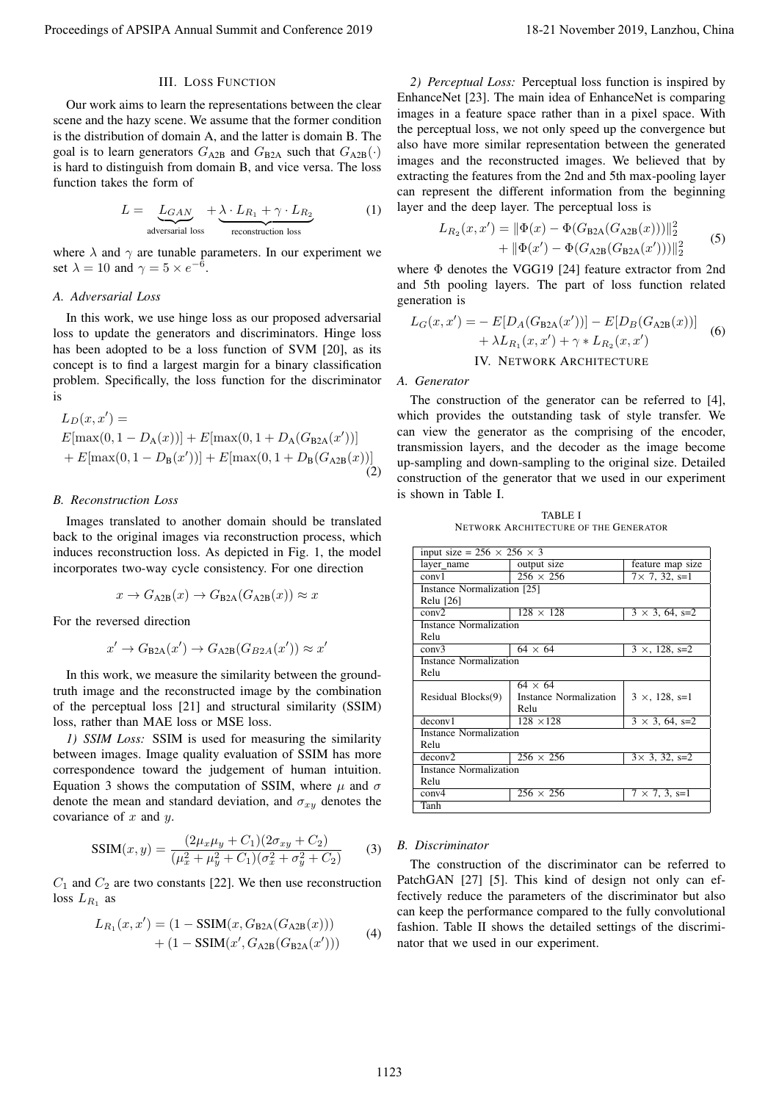## III. LOSS FUNCTION

$$
L = \underbrace{L_{GAN}}_{\text{adversarial loss}} + \underbrace{\lambda \cdot L_{R_1} + \gamma \cdot L_{R_2}}_{\text{reconstruction loss}}
$$
 (1)

## *A. Adversarial Loss*

$$
L_D(x, x') =
$$
  
\n
$$
E[\max(0, 1 - D_A(x))] + E[\max(0, 1 + D_A(G_{B2A}(x'))]
$$
  
\n
$$
+ E[\max(0, 1 - D_B(x'))] + E[\max(0, 1 + D_B(G_{A2B}(x)))]
$$
\n(2)

## *B. Reconstruction Loss*

$$
x \to G_{A2B}(x) \to G_{B2A}(G_{A2B}(x)) \approx x
$$

$$
x' \to G_{\text{B2A}}(x') \to G_{\text{A2B}}(G_{B2A}(x')) \approx x'
$$

$$
SSIM(x, y) = \frac{(2\mu_x \mu_y + C_1)(2\sigma_{xy} + C_2)}{(\mu_x^2 + \mu_y^2 + C_1)(\sigma_x^2 + \sigma_y^2 + C_2)}
$$
(3)

$$
L_{R_1}(x, x') = (1 - SSIM(x, G_{B2A}(G_{A2B}(x))) + (1 - SSIM(x', G_{A2B}(G_{B2A}(x')))
$$
 (4)

$$
L_{R_2}(x, x') = \|\Phi(x) - \Phi(G_{\text{B2A}}(G_{\text{A2B}}(x)))\|_2^2 + \|\Phi(x') - \Phi(G_{\text{A2B}}(G_{\text{B2A}}(x')))\|_2^2
$$
 (5)

$$
L_G(x, x') = - E[D_A(G_{\text{B2A}}(x'))] - E[D_B(G_{\text{A2B}}(x))]
$$
  
+  $\lambda L_{R_1}(x, x') + \gamma * L_{R_2}(x, x')$   
IV. NETWORK ARCHITECTURE

#### *A. Generator*

TABLE I NETWORK ARCHITECTURE OF THE GENERATOR

| Proceedings of APSIPA Annual Summit and Conference 2019                                                                                                                                                                                                                                                                                                                                                                                                                                                                                                                                               | 18-21 November 2019, Lanzhou, China                                                                                                                                                                                                                                                                                                                                                                                                                                                                                                                                                                                                                      |  |  |
|-------------------------------------------------------------------------------------------------------------------------------------------------------------------------------------------------------------------------------------------------------------------------------------------------------------------------------------------------------------------------------------------------------------------------------------------------------------------------------------------------------------------------------------------------------------------------------------------------------|----------------------------------------------------------------------------------------------------------------------------------------------------------------------------------------------------------------------------------------------------------------------------------------------------------------------------------------------------------------------------------------------------------------------------------------------------------------------------------------------------------------------------------------------------------------------------------------------------------------------------------------------------------|--|--|
| <b>III.</b> LOSS FUNCTION<br>Our work aims to learn the representations between the clear<br>scene and the hazy scene. We assume that the former condition<br>is the distribution of domain A, and the latter is domain B. The<br>goal is to learn generators $G_{A2B}$ and $G_{B2A}$ such that $G_{A2B}(\cdot)$<br>is hard to distinguish from domain B, and vice versa. The loss<br>function takes the form of<br>(1)<br>$L = \underbrace{L_{GAN}}_{\sim} + \underbrace{\lambda \cdot L_{R_1} + \gamma \cdot L_{R_2}}_{\sim}$<br>reconstruction loss                                                | 2) Perceptual Loss: Perceptual loss function is inspired by<br>EnhanceNet [23]. The main idea of EnhanceNet is comparing<br>images in a feature space rather than in a pixel space. With<br>the perceptual loss, we not only speed up the convergence but<br>also have more similar representation between the generated<br>images and the reconstructed images. We believed that by<br>extracting the features from the 2nd and 5th max-pooling layer<br>can represent the different information from the beginning<br>layer and the deep layer. The perceptual loss is<br>$L_{R_2}(x, x') =   \Phi(x) - \Phi(G_{\text{B2A}}(G_{\text{A2B}}(x)))  _2^2$ |  |  |
| where $\lambda$ and $\gamma$ are tunable parameters. In our experiment we<br>set $\lambda = 10$ and $\gamma = 5 \times e^{-6}$ .                                                                                                                                                                                                                                                                                                                                                                                                                                                                      | (5)<br>$+\ \Phi(x')-\Phi(G_{A2B}(G_{B2A}(x')))\ _2^2$<br>where $\Phi$ denotes the VGG19 [24] feature extractor from 2nd                                                                                                                                                                                                                                                                                                                                                                                                                                                                                                                                  |  |  |
| A. Adversarial Loss                                                                                                                                                                                                                                                                                                                                                                                                                                                                                                                                                                                   | and 5th pooling layers. The part of loss function related<br>generation is                                                                                                                                                                                                                                                                                                                                                                                                                                                                                                                                                                               |  |  |
| In this work, we use hinge loss as our proposed adversarial<br>loss to update the generators and discriminators. Hinge loss<br>has been adopted to be a loss function of SVM [20], as its<br>concept is to find a largest margin for a binary classification<br>problem. Specifically, the loss function for the discriminator<br><sup>is</sup><br>$L_D(x,x')=$                                                                                                                                                                                                                                       | $L_G(x, x') = - E[D_A(G_{\text{B2A}}(x'))] - E[D_B(G_{\text{A2B}}(x))]$<br>(6)<br>+ $\lambda L_{R_1}(x, x') + \gamma * L_{R_2}(x, x')$<br><b>IV. NETWORK ARCHITECTURE</b><br>A. Generator<br>The construction of the generator can be referred to [4],<br>which provides the outstanding task of style transfer. We                                                                                                                                                                                                                                                                                                                                      |  |  |
| $E[\max(0, 1 - D_A(x))] + E[\max(0, 1 + D_A(G_{\text{B2A}}(x')))]$<br>+ $E[\max(0, 1 - D_B(x'))]$ + $E[\max(0, 1 + D_B(G_{A2B}(x))]$<br>(2)                                                                                                                                                                                                                                                                                                                                                                                                                                                           | can view the generator as the comprising of the encoder,<br>transmission layers, and the decoder as the image become<br>up-sampling and down-sampling to the original size. Detailed<br>construction of the generator that we used in our experiment                                                                                                                                                                                                                                                                                                                                                                                                     |  |  |
| <b>B.</b> Reconstruction Loss                                                                                                                                                                                                                                                                                                                                                                                                                                                                                                                                                                         | is shown in Table I.                                                                                                                                                                                                                                                                                                                                                                                                                                                                                                                                                                                                                                     |  |  |
| Images translated to another domain should be translated<br>back to the original images via reconstruction process, which<br>induces reconstruction loss. As depicted in Fig. 1, the model<br>incorporates two-way cycle consistency. For one direction                                                                                                                                                                                                                                                                                                                                               | TABLE I<br>NETWORK ARCHITECTURE OF THE GENERATOR<br>input size = $256 \times 256 \times 3$<br>feature map size<br>output size<br>layer_name<br>$256 \times 256$<br>$7 \times 7$ , 32, s=1<br>conv1<br><b>Instance Normalization</b> [25]                                                                                                                                                                                                                                                                                                                                                                                                                 |  |  |
| $x \to G_{A2B}(x) \to G_{B2A}(G_{A2B}(x)) \approx x$                                                                                                                                                                                                                                                                                                                                                                                                                                                                                                                                                  | Relu [26]<br>$128 \times 128$<br>$3 \times 3, 64, s=2$<br>conv2                                                                                                                                                                                                                                                                                                                                                                                                                                                                                                                                                                                          |  |  |
| For the reversed direction                                                                                                                                                                                                                                                                                                                                                                                                                                                                                                                                                                            | <b>Instance Normalization</b>                                                                                                                                                                                                                                                                                                                                                                                                                                                                                                                                                                                                                            |  |  |
| $x' \rightarrow G_{\text{B2A}}(x') \rightarrow G_{\text{A2B}}(G_{B2A}(x')) \approx x'$                                                                                                                                                                                                                                                                                                                                                                                                                                                                                                                | Relu<br>$64 \times 64$<br>conv3<br>$3 \times$ , 128, s=2<br><b>Instance Normalization</b><br>Relu                                                                                                                                                                                                                                                                                                                                                                                                                                                                                                                                                        |  |  |
| In this work, we measure the similarity between the ground-<br>truth image and the reconstructed image by the combination<br>of the perceptual loss [21] and structural similarity (SSIM)<br>loss, rather than MAE loss or MSE loss.<br>1) SSIM Loss: SSIM is used for measuring the similarity<br>between images. Image quality evaluation of SSIM has more<br>correspondence toward the judgement of human intuition.<br>Equation 3 shows the computation of SSIM, where $\mu$ and $\sigma$<br>denote the mean and standard deviation, and $\sigma_{xy}$ denotes the<br>covariance of $x$ and $y$ . | $64 \times 64$<br>Residual Blocks(9)<br><b>Instance Normalization</b><br>$3 \times 128$ , s=1<br>Relu<br>deconv1<br>$128 \times 128$<br>$3 \times 3, 64, s=2$<br><b>Instance Normalization</b><br>Relu<br>deconv2<br>$256 \times 256$<br>$3 \times 3$ , 32, s=2<br><b>Instance Normalization</b><br>Relu<br>$256 \times 256$<br>$7 \times 7, 3, s=1$<br>conv4<br>Tanh                                                                                                                                                                                                                                                                                    |  |  |
| $SSIM(x, y) = \frac{(2\mu_x \mu_y + C_1)(2\sigma_{xy} + C_2)}{(\mu_x^2 + \mu_y^2 + C_1)(\sigma_x^2 + \sigma_y^2 + C_2)}$<br>(3)                                                                                                                                                                                                                                                                                                                                                                                                                                                                       | <b>B.</b> Discriminator<br>The construction of the discriminator can be referred to                                                                                                                                                                                                                                                                                                                                                                                                                                                                                                                                                                      |  |  |
| $C_1$ and $C_2$ are two constants [22]. We then use reconstruction<br>loss $L_{R_1}$ as<br>$L_{R_1}(x, x') = (1 - SSIM(x, G_{B2A}(G_{A2B}(x)))$<br>(4)<br>+ $(1 - SSIM(x', GA2B(GB2A(x'))))$                                                                                                                                                                                                                                                                                                                                                                                                          | PatchGAN [27] [5]. This kind of design not only can ef-<br>fectively reduce the parameters of the discriminator but also<br>can keep the performance compared to the fully convolutional<br>fashion. Table II shows the detailed settings of the discrimi-<br>nator that we used in our experiment.                                                                                                                                                                                                                                                                                                                                                      |  |  |
|                                                                                                                                                                                                                                                                                                                                                                                                                                                                                                                                                                                                       | 1123                                                                                                                                                                                                                                                                                                                                                                                                                                                                                                                                                                                                                                                     |  |  |

### *B. Discriminator*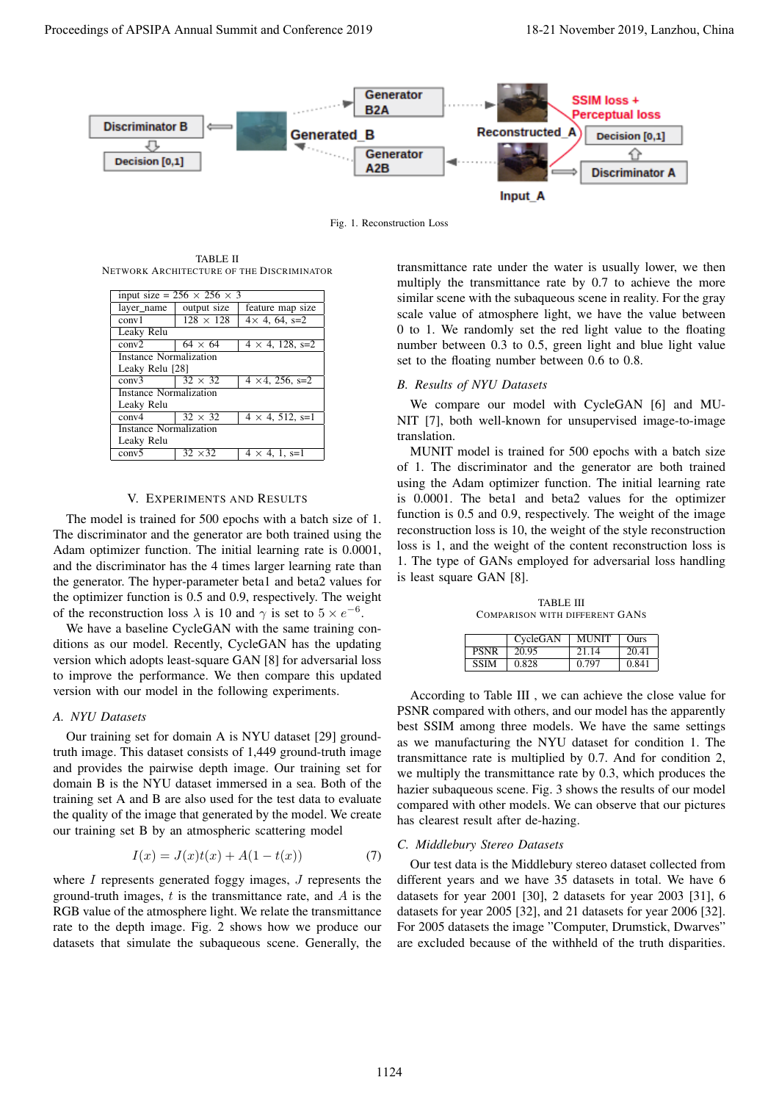

Fig. 1. Reconstruction Loss

TABLE II NETWORK ARCHITECTURE OF THE DISCRIMINATOR

| input size = $256 \times 256 \times 3$ |                               |                         |  |  |
|----------------------------------------|-------------------------------|-------------------------|--|--|
| layer_name                             | output size                   | feature map size        |  |  |
| conv1                                  | $128 \times 128$              | $4 \times 4$ , 64, s=2  |  |  |
| Leaky Relu                             |                               |                         |  |  |
| conv2                                  | $64 \times 64$                | $4 \times 4$ , 128, s=2 |  |  |
|                                        | <b>Instance Normalization</b> |                         |  |  |
| Leaky Relu [28]                        |                               |                         |  |  |
| conv3                                  | $32 \times 32$                | $4 \times 4$ , 256, s=2 |  |  |
| Instance Normalization                 |                               |                         |  |  |
| Leaky Relu                             |                               |                         |  |  |
| conv <sub>4</sub>                      | $32 \times 32$                | $4 \times 4$ , 512, s=1 |  |  |
| <b>Instance Normalization</b>          |                               |                         |  |  |
| Leaky Relu                             |                               |                         |  |  |
| conv <sub>5</sub>                      | $32 \times 32$                | $4 \times 4$ , 1, s=1   |  |  |

## V. EXPERIMENTS AND RESULTS

The model is trained for 500 epochs with a batch size of 1. The discriminator and the generator are both trained using the Adam optimizer function. The initial learning rate is 0.0001, and the discriminator has the 4 times larger learning rate than the generator. The hyper-parameter beta1 and beta2 values for the optimizer function is 0.5 and 0.9, respectively. The weight of the reconstruction loss  $\lambda$  is 10 and  $\gamma$  is set to  $5 \times e^{-6}$ .

We have a baseline CycleGAN with the same training conditions as our model. Recently, CycleGAN has the updating version which adopts least-square GAN [8] for adversarial loss to improve the performance. We then compare this updated version with our model in the following experiments.

## *A. NYU Datasets*

Our training set for domain A is NYU dataset [29] groundtruth image. This dataset consists of 1,449 ground-truth image and provides the pairwise depth image. Our training set for domain B is the NYU dataset immersed in a sea. Both of the training set A and B are also used for the test data to evaluate the quality of the image that generated by the model. We create our training set B by an atmospheric scattering model

$$
I(x) = J(x)t(x) + A(1 - t(x))
$$
\n(7)

where  $I$  represents generated foggy images,  $J$  represents the ground-truth images,  $t$  is the transmittance rate, and  $\overline{A}$  is the RGB value of the atmosphere light. We relate the transmittance rate to the depth image. Fig. 2 shows how we produce our datasets that simulate the subaqueous scene. Generally, the

transmittance rate under the water is usually lower, we then multiply the transmittance rate by 0.7 to achieve the more similar scene with the subaqueous scene in reality. For the gray scale value of atmosphere light, we have the value between 0 to 1. We randomly set the red light value to the floating number between 0.3 to 0.5, green light and blue light value set to the floating number between 0.6 to 0.8.

# *B. Results of NYU Datasets*

We compare our model with CycleGAN [6] and MU-NIT [7], both well-known for unsupervised image-to-image translation.

MUNIT model is trained for 500 epochs with a batch size of 1. The discriminator and the generator are both trained using the Adam optimizer function. The initial learning rate is 0.0001. The beta1 and beta2 values for the optimizer function is 0.5 and 0.9, respectively. The weight of the image reconstruction loss is 10, the weight of the style reconstruction loss is 1, and the weight of the content reconstruction loss is 1. The type of GANs employed for adversarial loss handling is least square GAN [8].

TABLE III COMPARISON WITH DIFFERENT GANS

|             | CycleGAN | <b>MUNIT</b> | Ours  |
|-------------|----------|--------------|-------|
| <b>PSNR</b> | 20.95    | 21.14        | 20.41 |
| <b>SSIM</b> | 0.828    | 0.797        | 0.841 |

According to Table III , we can achieve the close value for PSNR compared with others, and our model has the apparently best SSIM among three models. We have the same settings as we manufacturing the NYU dataset for condition 1. The transmittance rate is multiplied by 0.7. And for condition 2, we multiply the transmittance rate by 0.3, which produces the hazier subaqueous scene. Fig. 3 shows the results of our model compared with other models. We can observe that our pictures has clearest result after de-hazing.

## *C. Middlebury Stereo Datasets*

Our test data is the Middlebury stereo dataset collected from different years and we have 35 datasets in total. We have 6 datasets for year 2001 [30], 2 datasets for year 2003 [31], 6 datasets for year 2005 [32], and 21 datasets for year 2006 [32]. For 2005 datasets the image "Computer, Drumstick, Dwarves" are excluded because of the withheld of the truth disparities.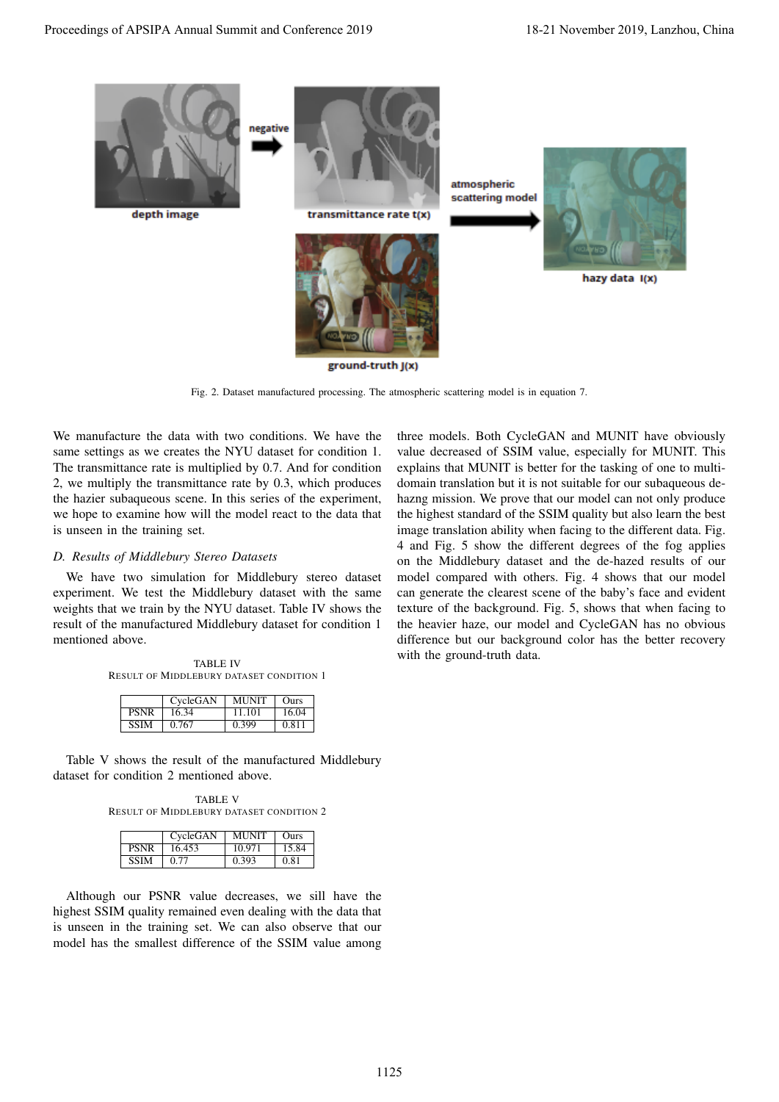

Fig. 2. Dataset manufactured processing. The atmospheric scattering model is in equation 7.

We manufacture the data with two conditions. We have the same settings as we creates the NYU dataset for condition 1. The transmittance rate is multiplied by 0.7. And for condition 2, we multiply the transmittance rate by 0.3, which produces the hazier subaqueous scene. In this series of the experiment, we hope to examine how will the model react to the data that is unseen in the training set.

# *D. Results of Middlebury Stereo Datasets*

We have two simulation for Middlebury stereo dataset experiment. We test the Middlebury dataset with the same weights that we train by the NYU dataset. Table IV shows the result of the manufactured Middlebury dataset for condition 1 mentioned above.

TABLE IV RESULT OF MIDDLEBURY DATASET CONDITION 1

|             | CycleGAN | <b>MUNIT</b> | Ours  |
|-------------|----------|--------------|-------|
| <b>PSNR</b> | 16.34    | 11 101       | 16.04 |
| <b>SSIM</b> | 0.767    | 0.399        | 0.811 |

Table V shows the result of the manufactured Middlebury dataset for condition 2 mentioned above.

TABLE V RESULT OF MIDDLEBURY DATASET CONDITION 2

|             | CycleGAN | <b>MUNIT</b> | Ours  |
|-------------|----------|--------------|-------|
| <b>PSNR</b> | 16.453   | 10.971       | 15.84 |
| <b>SSIM</b> | በ 77     | 0.393        | 0.81  |

Although our PSNR value decreases, we sill have the highest SSIM quality remained even dealing with the data that is unseen in the training set. We can also observe that our model has the smallest difference of the SSIM value among

three models. Both CycleGAN and MUNIT have obviously value decreased of SSIM value, especially for MUNIT. This explains that MUNIT is better for the tasking of one to multidomain translation but it is not suitable for our subaqueous dehazng mission. We prove that our model can not only produce the highest standard of the SSIM quality but also learn the best image translation ability when facing to the different data. Fig. 4 and Fig. 5 show the different degrees of the fog applies on the Middlebury dataset and the de-hazed results of our model compared with others. Fig. 4 shows that our model can generate the clearest scene of the baby's face and evident texture of the background. Fig. 5, shows that when facing to the heavier haze, our model and CycleGAN has no obvious difference but our background color has the better recovery with the ground-truth data.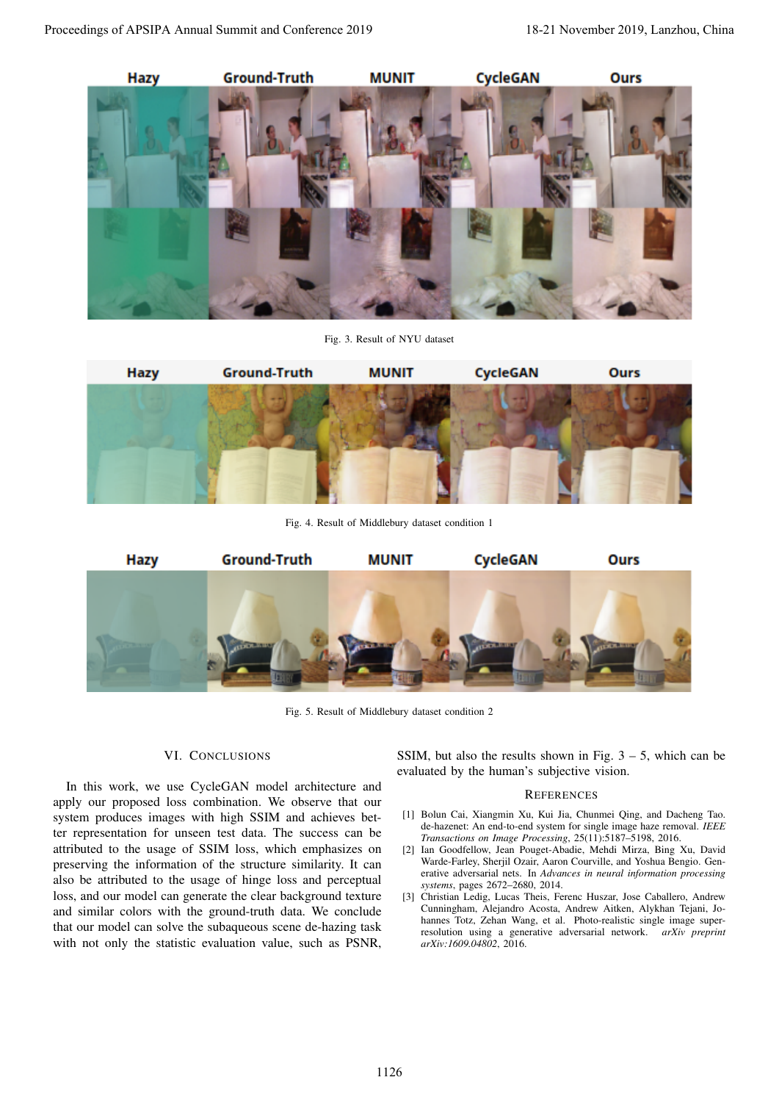

Fig. 3. Result of NYU dataset



Fig. 4. Result of Middlebury dataset condition 1



Fig. 5. Result of Middlebury dataset condition 2

# VI. CONCLUSIONS

In this work, we use CycleGAN model architecture and apply our proposed loss combination. We observe that our system produces images with high SSIM and achieves better representation for unseen test data. The success can be attributed to the usage of SSIM loss, which emphasizes on preserving the information of the structure similarity. It can also be attributed to the usage of hinge loss and perceptual loss, and our model can generate the clear background texture and similar colors with the ground-truth data. We conclude that our model can solve the subaqueous scene de-hazing task with not only the statistic evaluation value, such as PSNR,

SSIM, but also the results shown in Fig.  $3 - 5$ , which can be evaluated by the human's subjective vision.

## **REFERENCES**

- [1] Bolun Cai, Xiangmin Xu, Kui Jia, Chunmei Qing, and Dacheng Tao. de-hazenet: An end-to-end system for single image haze removal. *IEEE Transactions on Image Processing*, 25(11):5187–5198, 2016.
- [2] Ian Goodfellow, Jean Pouget-Abadie, Mehdi Mirza, Bing Xu, David Warde-Farley, Sherjil Ozair, Aaron Courville, and Yoshua Bengio. Generative adversarial nets. In *Advances in neural information processing systems*, pages 2672–2680, 2014.
- [3] Christian Ledig, Lucas Theis, Ferenc Huszar, Jose Caballero, Andrew Cunningham, Alejandro Acosta, Andrew Aitken, Alykhan Tejani, Johannes Totz, Zehan Wang, et al. Photo-realistic single image superresolution using a generative adversarial network. *arXiv preprint arXiv:1609.04802*, 2016.